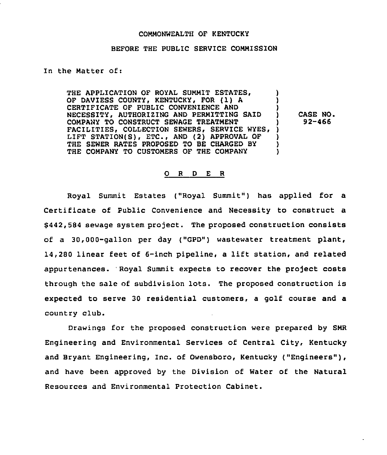#### COMMONWEALTH OF KENTUCKY

### BEFORE THE PUBLIC SERVICE COMMISSION

In the Matter of:

THE APPLICATION OF ROYAL SUMMIT ESTATES. THE APPLICATION OF ROYAL SUMMIT ESTATES,  $\qquad$ )<br>OF DAVIESS COUNTY, KENTUCKY, FOR (1) A  $\qquad$ ) CERTIFICATE OF PUBLIC CONVENIENCE AND ) NECESSITY, AUTHORIZING AND PERMITTING SAID ) COMPANY TO CONSTRUCT SEWAGE TREATMENT ) FACILITIES, COLLECTION SEWERS, SERVICE WYES, LIFT STATION(S), ETC., AND (2) APPROVAL OF )<br>THE SEWER RATES PROPOSED TO BE CHARGED BY THE SEWER RATES PROPOSED TO BE CHARGED BY  $\left\{\right.$  )<br>THE COMPANY TO CUSTOMERS OF THE COMPANY  $\left.\right.$ THE COMPANY TO CUSTOMERS OF THE COMPANY CASE NO. 92-466

#### 0 <sup>R</sup> <sup>D</sup> E <sup>R</sup>

Royal Summit Estates ("Royal Summit") has applied for a Certificate of Public Convenience and Necessity to construct a \$ 442,584 sewage system project. The proposed construction consists of a 30,000-gallon per day ("GPD") wastewater treatment plant, 14,280 linear feet of 6-inch pipeline, <sup>a</sup> lift station, and related appurtenances. 'Royal Summit expects to recover the project costs through the sale of subdivision lots. The proposed construction is expected to serve 30 residential customers, a golf course and a country club.

Drawings for the proposed construction were prepared by SMR Engineering and Environmental Services of Central City, Kentucky and Bryant Engineering, Inc. of Owensboro, Kentucky ("Engineers"), and have been approved by the Division of Water of the Natural Resources and Environmental Protection Cabinet.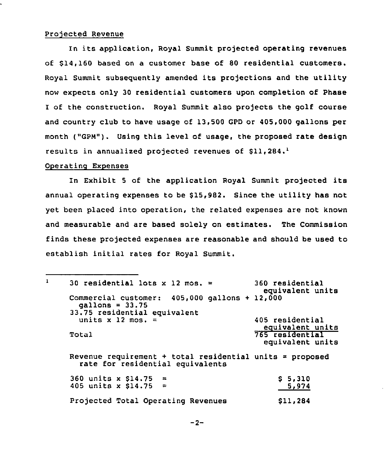## Projected Revenue

In its application, Royal Summit projected operating revenues of \$14,160 based on a customer base of 80 residential customers. Royal Summit subsequently amended its projections and the utility now expects only 30 residential customers upon completion of Phase I of the construction. Royal Summit also projects the golf course and country club to have usage of 13,500 GPD or 405,000 gallons per month ("GPN"). Using this level of usage, the proposed rate design results in annualized projected revenues of  $$11,284$ .

# Operating Expenses

In Exhibit <sup>5</sup> of the application Royal Summit projected its annual operating expenses to be \$15,982. Since the utility has not yet been placed into operation, the related expenses are not known and measurable and are based solely on estimates. The Commission finds these projected expenses are reasonable and should be used to establish initial rates for Royal Summit.

| $\mathbf{1}$ | 30 residential lots x 12 mos. =                                                              | 360 residential<br>equivalent units |
|--------------|----------------------------------------------------------------------------------------------|-------------------------------------|
|              | Commercial customer: 405,000 gallons + 12,000<br>$gallons = 33.75$                           |                                     |
|              | 33.75 residential equivalent                                                                 |                                     |
|              | units $x$ 12 mos. =                                                                          | 405 residential<br>equivalent units |
|              | Total                                                                                        | 765 residential<br>equivalent units |
|              | Revenue requirement + total residential units = proposed<br>rate for residential equivalents |                                     |
|              | 360 units x $$14.75 =$                                                                       | \$5,310                             |
|              | 405 units x \$14.75 =                                                                        | 5,974                               |
|              | Projected Total Operating Revenues                                                           | \$11,284                            |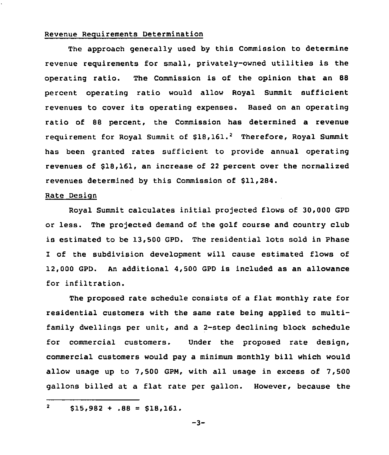## Revenue Requirements Determination

The approach generally used by this Commission to determine revenue requirements for small, privately-owned utilities is the operating ratio. The Commission is of the opinion that an 88 percent operating ratio would allow Royal Summit sufficient revenues to cover its operating expenses. Based on an operating ratio of 88 percent, the Commission has determined a revenue requirement for Royal Summit of  $$18,161.^2$  Therefore, Royal Summit has been granted rates sufficient to provide annual operating revenues of \$18,161, an increase of <sup>22</sup> percent over the normalized revenues determined by this Commission of \$11,284.

### Rate Design

Royal Summit calculates initial projected flows of 30,000 GPD or less. The projected demand of the golf course and country club is estimated to be 13,500 GPD. The residential lots sold in Phase I of the subdivision development will cause estimated flows of 12,000 GPD. An additional 4,500 GPD is included as an allowance for infiltration.

The proposed rate schedule consists of <sup>a</sup> flat monthly rate for residential customers with the same rate being applied to multifamily dwellings per unit, and a 2-step declining block schedule for commercial customers. Under the proposed rate design, commercial customers would pay a minimum monthly bill which would allow usage up to 7,500 GPN, with all usage in excess of 7,500 gallons billed at a flat rate per gallon. However, because the

```
-3-
```
 $\overline{\mathbf{2}}$  $$15,982 + .88 = $18,161.$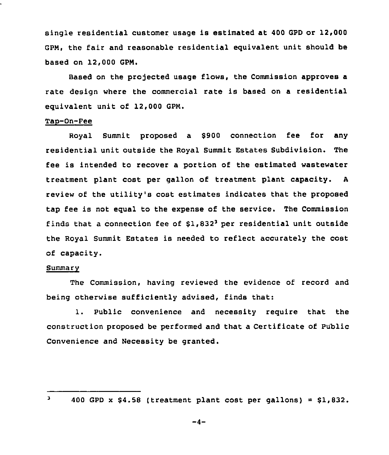single residential customer usage is estimated at 400 GPD or 12,000 GPN, the fair and reasonable residential equivalent unit should be based on 12,000 GPN.

Based on the projected usage flows, the Commission approves a rate design where the commercial rate is based on a residential equivalent unit of 12,000 GPN.

# Tao-On-Pee

Royal Summit proposed a \$900 connection fee for any residential unit outside the Royal Summit Estates Subdivision. The fee is intended to recover <sup>a</sup> portion of the estimated wastewater treatment plant cost per gallon of treatment plant capacity. <sup>A</sup> review of the utility's cost estimates indicates that the proposed tap fee is not equal to the expense of the service. The Commission finds that a connection fee of  $$1,832^3$  per residential unit outside the Royal Summit Estates is needed to reflect accurately the cost of capacity.

### Summarv

The Commission, having reviewed the evidence of record and being otherwise sufficiently advised, finds that:

1. Public convenience and necessity require that the construction proposed be performed and that a Certificate of Public Convenience and Necessity be granted.

 $-4-$ 

 $\overline{\mathbf{3}}$ 

<sup>400</sup> GPD  $x$  \$4.58 (treatment plant cost per gallons) = \$1,832.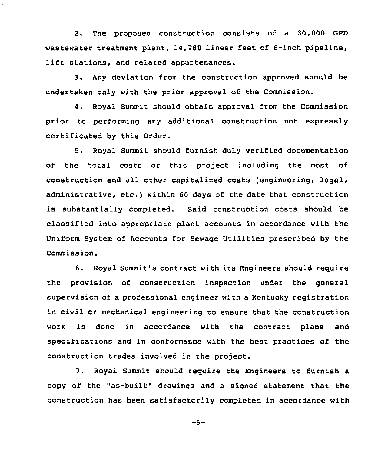2. The proposed construction consists of a 30,000 GPD wastewater treatment plant, 14,280 linear feet of 6-inch pipeline, lift stations, and related appurtenances.

3. Any deviation from the construction approved should be undertaken only with the prior approval of the Commission.

4. Royal Summit should obtain approval from the Commission prior to performing any additional construction not expressly certificated by this Qrder.

5. Royal Summit should furnish duly verified documentation of the total costs of this project including the cost of construction and all other capitalized costs (engineering, legal, administrative, etc.) within <sup>60</sup> days of the date that construction is substantially completed. Said construction costs should be classified into appropriate plant accounts in accordance with the Uniform System of Accounts for Sewage Utilities prescribed by the Commission.

6. Royal Summit's contract with its Engineers should require the provision of construction inspection under the general supervision of a professional engineer with a Kentucky registration in civil or mechanical engineering to ensure that the construction work is done in accordance with the contract plans and specifications and in conformance with the best practices of the construction trades involved in the project.

7. Royal Summit should require the Engineers to furnish a copy of the "as-built" drawings and a signed statement that the construction has been satisfactorily completed in accordance with

 $-5-$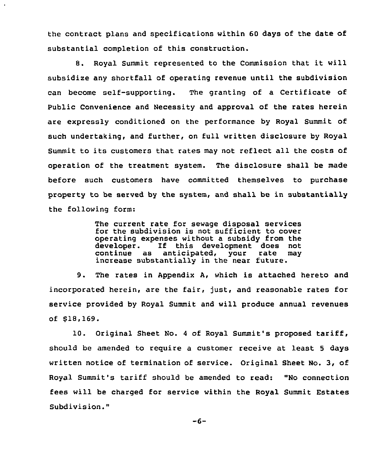the contract plans and specifications within 60 days of the date of substantial completion of this construction.

8. Royal Summit represented to the Commission that it will subsidize any shortfall of operating revenue until the subdivision can become self-supporting. The granting of a Certificate of Public Convenience and Necessity and approval of the rates herein are expressly conditioned on the performance by Royal Summit of such undertaking, and further, on full written disclosure by Royal Summit to its customers that rates may not reflect all the costs of operation of the treatment system. The disclosure shall be made before such customers have committed themselves to purchase property to be served by the system, and shall be in substantially the following form:

> The current rate for sewage disposal services for the subdivision is not sufficient to cover operating expenses without a subsidy from the<br>developer. If this development does not developer. If this development does not<br>continue as anticipated, your rate may anticipated, your rate increase substantially in the near future.

9. The rates in Appendix A, which is attached hereto and incorporated herein, are the fair, just, and reasonable rates for service provided by Royal Summit and will produce annual revenues of \$18,169.

10. Original Sheet No. <sup>4</sup> of Royal Summit's proposed tariff, should be amended to reguire a customer receive at least <sup>5</sup> days written notice of termination of service. Original Sheet No. 3, of Royal Summit's tariff should be amended to read: "No connection fees will be charged for service within the Royal Summit Estates Subdivision."

 $-6-$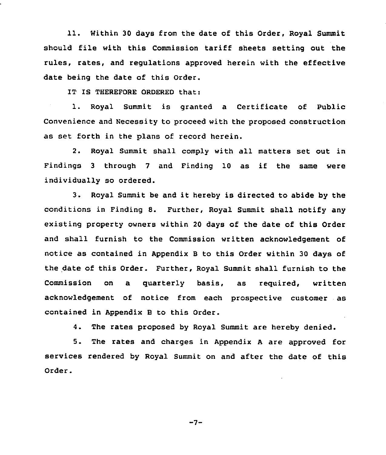11. Within <sup>30</sup> days from the date of this Order, Royal Summit should file with this Commission tariff sheets setting out the rules, rates, and regulations approved herein with the effective date being the date of this Order.

IT IS THEREFORE ORDERED that:

1. Royal Summit is granted a Certificate of Public Convenience and Necessity to proceed with the proposed construction as set forth in the plans of record herein.

2. Royal Summit shall comply with all matters set out in Findings <sup>3</sup> through <sup>7</sup> and Finding 10 as if the same were individually so ordered.

3. Royal Summit be and it hereby is directed to abide by the conditions in Finding 8. Further, Royal Summit shall notify any existing property owners within 20 days of the date of this Order and shall furnish to the Commission written acknowledgement of notice as contained in Appendix <sup>B</sup> to this Order within 30 days of the date of this Order. Further, Royal Summit shall furnish to the Commission on a quarterly basis, as required, written acknowledgement of notice from each prospective customer as contained in Appendix B to this Order.

4. The rates proposed by Royal Summit are hereby denied.

5. The rates and charges in Appendix <sup>A</sup> are approved for services rendered by Royal Summit on and after the date of this Order.

 $-7-$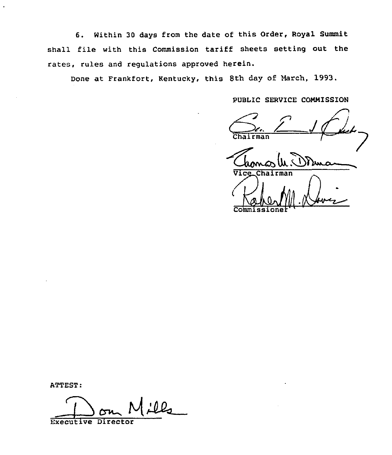6. Within 30 days from the date of this Order, Royal Summit shall file with this Commission tariff sheets setting out the rates, rules and regulations approved herein.

Done at Frankfort, Rentucky, this 8th day of March, 1993.

PUBLIC SERVICE COMMISSION

Chairman Commissione

ATTEST:

<u>:12</u>

Executive Director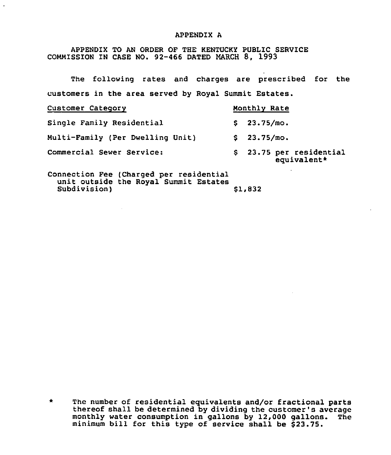#### APPENDIX A

APPENDIX TO AN ORDER OF THE KENTUCKI PUBLIC SERVICE COMMISSION IN CASE NO. 92-466 DATED MARCH 8, 1993

The following rates and charges are prescribed for the customers in the area served by Royal Summit Estates.

| Customer Category                       | Monthly Rate                            |
|-----------------------------------------|-----------------------------------------|
| Single Family Residential               | \$23.75/m0.                             |
| Multi-Family (Per Dwelling Unit)        | \$23.75/m0.                             |
| Commercial Sewer Service:               | \$ 23.75 per residential<br>equivalent* |
| Connection Fee (Charged per residential |                                         |

unit outside the Royal Summit Estates Subdivision) \$1,832

\* The number of residential equivalents and/or fractional parts thereof shall be determined by dividing the customer's average monthly water consumption in gallons by 12,000 gallons. The minimum bill for this type of service shall be \$23.75.